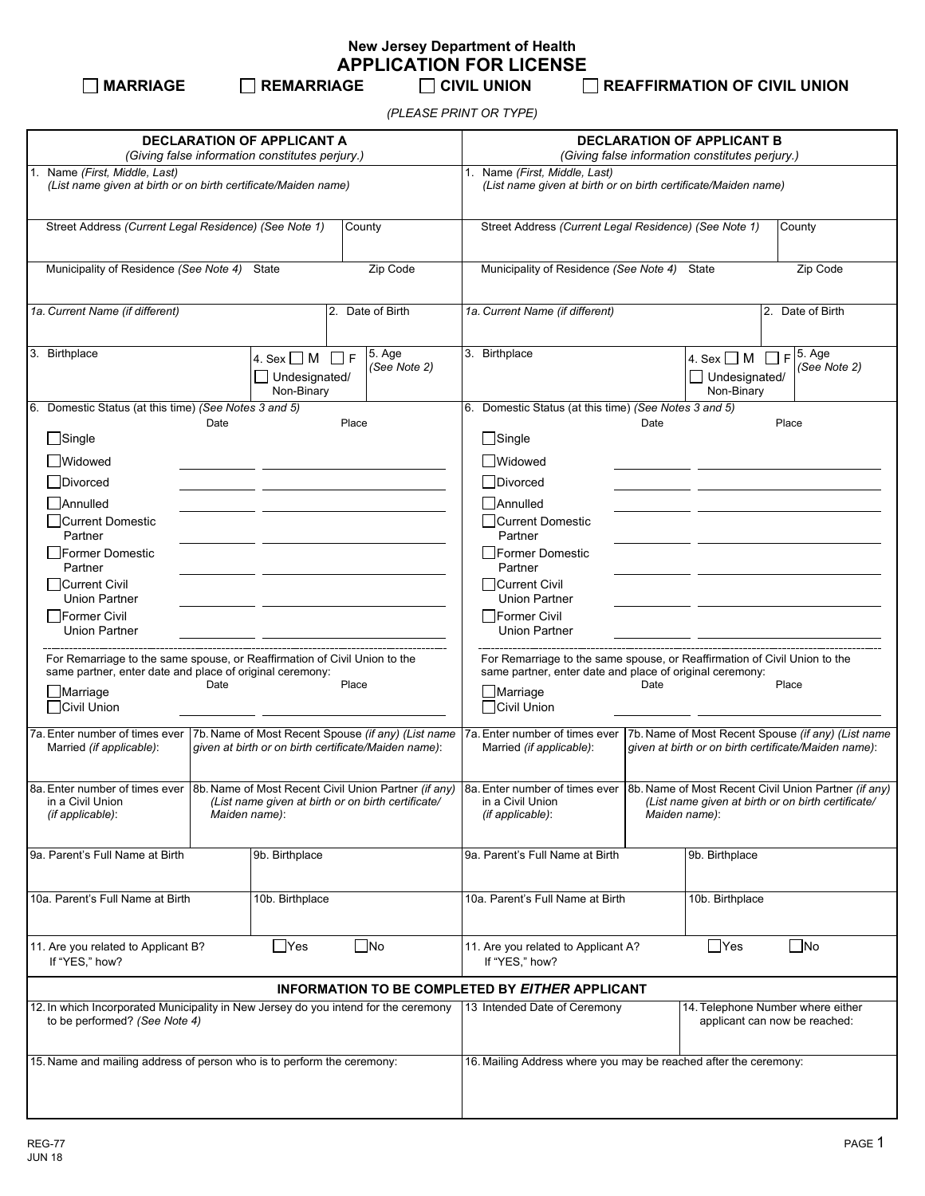**New Jersey Department of Health APPLICATION FOR LICENSE**<br>۲ CIVIL UNION TO REMARRIAGE

**MARRIAGE REMARRIAGE CIVIL UNION REAFFIRMATION OF CIVIL UNION**

*(PLEASE PRINT OR TYPE)*

| <b>DECLARATION OF APPLICANT A</b><br>(Giving false information constitutes perjury.)                                                  |                                                            |                                                                                                                                                                                                                                                                                        |                                                                                                                                       | <b>DECLARATION OF APPLICANT B</b><br>(Giving false information constitutes perjury.) |      |                                                                    |                                                                                                            |
|---------------------------------------------------------------------------------------------------------------------------------------|------------------------------------------------------------|----------------------------------------------------------------------------------------------------------------------------------------------------------------------------------------------------------------------------------------------------------------------------------------|---------------------------------------------------------------------------------------------------------------------------------------|--------------------------------------------------------------------------------------|------|--------------------------------------------------------------------|------------------------------------------------------------------------------------------------------------|
| 1. Name (First, Middle, Last)                                                                                                         |                                                            |                                                                                                                                                                                                                                                                                        | 1. Name (First, Middle, Last)                                                                                                         |                                                                                      |      |                                                                    |                                                                                                            |
| (List name given at birth or on birth certificate/Maiden name)                                                                        |                                                            |                                                                                                                                                                                                                                                                                        | (List name given at birth or on birth certificate/Maiden name)                                                                        |                                                                                      |      |                                                                    |                                                                                                            |
| Street Address (Current Legal Residence) (See Note 1)<br>County                                                                       |                                                            |                                                                                                                                                                                                                                                                                        | Street Address (Current Legal Residence) (See Note 1)<br>County                                                                       |                                                                                      |      |                                                                    |                                                                                                            |
| Municipality of Residence (See Note 4) State<br>Zip Code                                                                              |                                                            |                                                                                                                                                                                                                                                                                        | Municipality of Residence (See Note 4) State<br>Zip Code                                                                              |                                                                                      |      |                                                                    |                                                                                                            |
| 1a. Current Name (if different)                                                                                                       |                                                            | 2. Date of Birth                                                                                                                                                                                                                                                                       |                                                                                                                                       | 1a. Current Name (if different)                                                      |      |                                                                    | 2. Date of Birth                                                                                           |
| 3. Birthplace                                                                                                                         | 4. Sex $\Box$ M<br>$\Box$ F<br>Undesignated/<br>Non-Binary | 5. Age<br>(See Note 2)                                                                                                                                                                                                                                                                 |                                                                                                                                       | 3. Birthplace                                                                        |      | 4. Sex $\Box$ M<br>Undesignated/<br>Non-Binary                     | $F$ 5. Age<br>(See Note 2)                                                                                 |
| 6. Domestic Status (at this time) (See Notes 3 and 5)                                                                                 |                                                            |                                                                                                                                                                                                                                                                                        |                                                                                                                                       | 6. Domestic Status (at this time) (See Notes 3 and 5)                                |      |                                                                    |                                                                                                            |
| Date<br>$\Box$ Single                                                                                                                 |                                                            | Place                                                                                                                                                                                                                                                                                  |                                                                                                                                       | $\Box$ Single                                                                        | Date |                                                                    | Place                                                                                                      |
|                                                                                                                                       |                                                            |                                                                                                                                                                                                                                                                                        |                                                                                                                                       |                                                                                      |      |                                                                    |                                                                                                            |
| <b>Nidowed</b>                                                                                                                        |                                                            |                                                                                                                                                                                                                                                                                        |                                                                                                                                       | <b>Nidowed</b>                                                                       |      |                                                                    |                                                                                                            |
| $\Box$ Divorced                                                                                                                       |                                                            |                                                                                                                                                                                                                                                                                        |                                                                                                                                       | Divorced                                                                             |      |                                                                    |                                                                                                            |
| <b>□</b> Annulled<br>□Current Domestic                                                                                                |                                                            |                                                                                                                                                                                                                                                                                        |                                                                                                                                       | Annulled<br>□Current Domestic                                                        |      |                                                                    |                                                                                                            |
| Partner                                                                                                                               |                                                            |                                                                                                                                                                                                                                                                                        |                                                                                                                                       | Partner                                                                              |      |                                                                    |                                                                                                            |
| <b>Former Domestic</b><br>Partner                                                                                                     |                                                            |                                                                                                                                                                                                                                                                                        |                                                                                                                                       | Former Domestic<br>Partner                                                           |      |                                                                    |                                                                                                            |
| Current Civil<br><b>Union Partner</b>                                                                                                 |                                                            |                                                                                                                                                                                                                                                                                        |                                                                                                                                       | Current Civil<br><b>Union Partner</b>                                                |      |                                                                    |                                                                                                            |
| Former Civil<br><b>Union Partner</b>                                                                                                  |                                                            |                                                                                                                                                                                                                                                                                        |                                                                                                                                       | Former Civil<br><b>Union Partner</b>                                                 |      |                                                                    |                                                                                                            |
| For Remarriage to the same spouse, or Reaffirmation of Civil Union to the<br>same partner, enter date and place of original ceremony: |                                                            |                                                                                                                                                                                                                                                                                        | For Remarriage to the same spouse, or Reaffirmation of Civil Union to the<br>same partner, enter date and place of original ceremony: |                                                                                      |      |                                                                    |                                                                                                            |
| Date<br>Place<br>Marriage                                                                                                             |                                                            |                                                                                                                                                                                                                                                                                        |                                                                                                                                       | $\Box$ Marriage                                                                      | Date |                                                                    | Place                                                                                                      |
| □Civil Union                                                                                                                          |                                                            |                                                                                                                                                                                                                                                                                        |                                                                                                                                       | □Civil Union                                                                         |      |                                                                    |                                                                                                            |
| 7a. Enter number of times ever<br>Married (if applicable):                                                                            |                                                            | 7b. Name of Most Recent Spouse (if any) (List name<br>given at birth or on birth certificate/Maiden name):                                                                                                                                                                             |                                                                                                                                       | 7a. Enter number of times ever<br>Married (if applicable):                           |      |                                                                    | 7b. Name of Most Recent Spouse (if any) (List name<br>given at birth or on birth certificate/Maiden name): |
| in a Civil Union<br>(List name given at birth or on birth certificate/<br>(if applicable):<br>Maiden name):                           |                                                            | 8a. Enter number of times ever 8b. Name of Most Recent Civil Union Partner (if any) 8a. Enter number of times ever 8b. Name of Most Recent Civil Union Partner (if any)<br>in a Civil Union<br>(List name given at birth or on birth certificate/<br>(if applicable):<br>Maiden name): |                                                                                                                                       |                                                                                      |      |                                                                    |                                                                                                            |
| 9a. Parent's Full Name at Birth                                                                                                       | 9b. Birthplace                                             |                                                                                                                                                                                                                                                                                        |                                                                                                                                       | 9a. Parent's Full Name at Birth                                                      |      | 9b. Birthplace                                                     |                                                                                                            |
| 10a. Parent's Full Name at Birth                                                                                                      | 10b. Birthplace                                            |                                                                                                                                                                                                                                                                                        |                                                                                                                                       | 10a. Parent's Full Name at Birth                                                     |      | 10b. Birthplace                                                    |                                                                                                            |
| 11. Are you related to Applicant B?<br>If "YES," how?                                                                                 | $\Box$ Yes                                                 | $\square$ No                                                                                                                                                                                                                                                                           |                                                                                                                                       | 11. Are you related to Applicant A?<br>If "YES," how?                                |      | $\Box$ Yes                                                         | $\square$ No                                                                                               |
| INFORMATION TO BE COMPLETED BY EITHER APPLICANT                                                                                       |                                                            |                                                                                                                                                                                                                                                                                        |                                                                                                                                       |                                                                                      |      |                                                                    |                                                                                                            |
| 12. In which Incorporated Municipality in New Jersey do you intend for the ceremony<br>to be performed? (See Note 4)                  |                                                            |                                                                                                                                                                                                                                                                                        |                                                                                                                                       | 13 Intended Date of Ceremony                                                         |      | 14. Telephone Number where either<br>applicant can now be reached: |                                                                                                            |
| 15. Name and mailing address of person who is to perform the ceremony:                                                                |                                                            |                                                                                                                                                                                                                                                                                        |                                                                                                                                       | 16. Mailing Address where you may be reached after the ceremony:                     |      |                                                                    |                                                                                                            |
|                                                                                                                                       |                                                            |                                                                                                                                                                                                                                                                                        |                                                                                                                                       |                                                                                      |      |                                                                    |                                                                                                            |